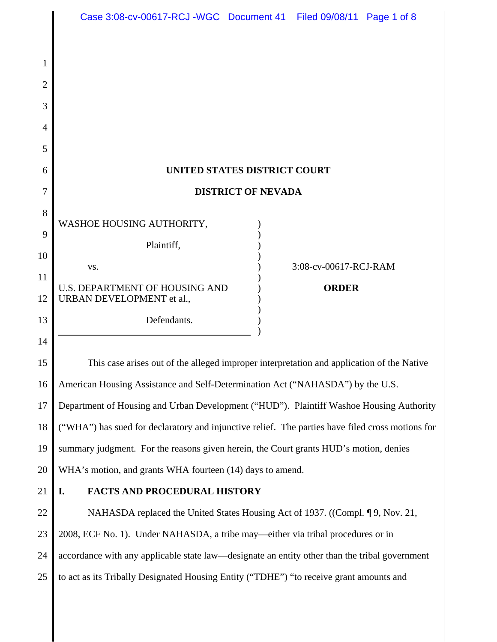|                | Case 3:08-cv-00617-RCJ-WGC Document 41 Filed 09/08/11 Page 1 of 8                                |  |                       |  |  |
|----------------|--------------------------------------------------------------------------------------------------|--|-----------------------|--|--|
| 1              |                                                                                                  |  |                       |  |  |
| $\overline{2}$ |                                                                                                  |  |                       |  |  |
| 3              |                                                                                                  |  |                       |  |  |
| 4              |                                                                                                  |  |                       |  |  |
| 5              |                                                                                                  |  |                       |  |  |
| 6              | UNITED STATES DISTRICT COURT                                                                     |  |                       |  |  |
| 7              | <b>DISTRICT OF NEVADA</b>                                                                        |  |                       |  |  |
| 8              |                                                                                                  |  |                       |  |  |
| 9              | WASHOE HOUSING AUTHORITY,                                                                        |  |                       |  |  |
| 10             | Plaintiff,                                                                                       |  |                       |  |  |
| 11             | VS.                                                                                              |  | 3:08-cv-00617-RCJ-RAM |  |  |
| 12             | <b>U.S. DEPARTMENT OF HOUSING AND</b><br>URBAN DEVELOPMENT et al.,                               |  | <b>ORDER</b>          |  |  |
| 13             | Defendants.                                                                                      |  |                       |  |  |
| 14             |                                                                                                  |  |                       |  |  |
| 15             | This case arises out of the alleged improper interpretation and application of the Native        |  |                       |  |  |
| 16             | American Housing Assistance and Self-Determination Act ("NAHASDA") by the U.S.                   |  |                       |  |  |
| 17             | Department of Housing and Urban Development ("HUD"). Plaintiff Washoe Housing Authority          |  |                       |  |  |
| 18             | ("WHA") has sued for declaratory and injunctive relief. The parties have filed cross motions for |  |                       |  |  |
| 19             | summary judgment. For the reasons given herein, the Court grants HUD's motion, denies            |  |                       |  |  |
| 20             | WHA's motion, and grants WHA fourteen (14) days to amend.                                        |  |                       |  |  |
| 21             | <b>FACTS AND PROCEDURAL HISTORY</b><br>I.                                                        |  |                       |  |  |
| 22             | NAHASDA replaced the United States Housing Act of 1937. ((Compl. ¶ 9, Nov. 21,                   |  |                       |  |  |
| 23             | 2008, ECF No. 1). Under NAHASDA, a tribe may—either via tribal procedures or in                  |  |                       |  |  |
| 24             | accordance with any applicable state law—designate an entity other than the tribal government    |  |                       |  |  |
| 25             | to act as its Tribally Designated Housing Entity ("TDHE") "to receive grant amounts and          |  |                       |  |  |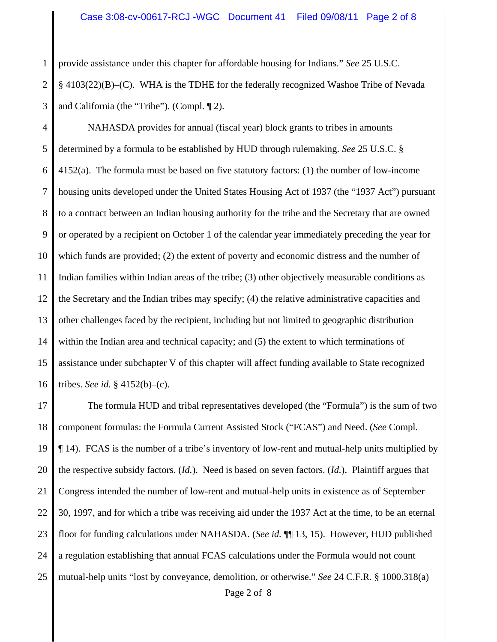1 2 3 provide assistance under this chapter for affordable housing for Indians." *See* 25 U.S.C. § 4103(22)(B)–(C). WHA is the TDHE for the federally recognized Washoe Tribe of Nevada and California (the "Tribe"). (Compl. ¶ 2).

4 5 6 7 8 9 10 11 12 13 14 15 16 NAHASDA provides for annual (fiscal year) block grants to tribes in amounts determined by a formula to be established by HUD through rulemaking. *See* 25 U.S.C. § 4152(a). The formula must be based on five statutory factors: (1) the number of low-income housing units developed under the United States Housing Act of 1937 (the "1937 Act") pursuant to a contract between an Indian housing authority for the tribe and the Secretary that are owned or operated by a recipient on October 1 of the calendar year immediately preceding the year for which funds are provided; (2) the extent of poverty and economic distress and the number of Indian families within Indian areas of the tribe; (3) other objectively measurable conditions as the Secretary and the Indian tribes may specify; (4) the relative administrative capacities and other challenges faced by the recipient, including but not limited to geographic distribution within the Indian area and technical capacity; and (5) the extent to which terminations of assistance under subchapter V of this chapter will affect funding available to State recognized tribes. *See id.* § 4152(b)–(c).

17 18 19 20 21 22 23 24 25 The formula HUD and tribal representatives developed (the "Formula") is the sum of two component formulas: the Formula Current Assisted Stock ("FCAS") and Need. (*See* Compl. ¶ 14). FCAS is the number of a tribe's inventory of low-rent and mutual-help units multiplied by the respective subsidy factors. (*Id.*). Need is based on seven factors. (*Id.*). Plaintiff argues that Congress intended the number of low-rent and mutual-help units in existence as of September 30, 1997, and for which a tribe was receiving aid under the 1937 Act at the time, to be an eternal floor for funding calculations under NAHASDA. (*See id.* ¶¶ 13, 15). However, HUD published a regulation establishing that annual FCAS calculations under the Formula would not count mutual-help units "lost by conveyance, demolition, or otherwise." *See* 24 C.F.R. § 1000.318(a) Page 2 of 8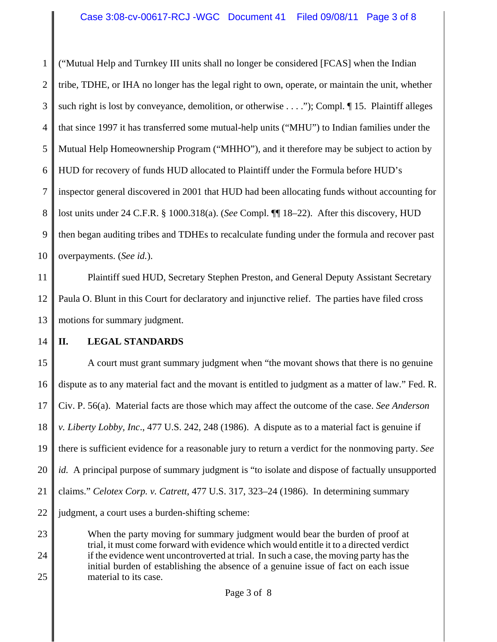1 2 3 4 5 6 7 8 9 10 ("Mutual Help and Turnkey III units shall no longer be considered [FCAS] when the Indian tribe, TDHE, or IHA no longer has the legal right to own, operate, or maintain the unit, whether such right is lost by conveyance, demolition, or otherwise . . . ."); Compl.  $\P$  15. Plaintiff alleges that since 1997 it has transferred some mutual-help units ("MHU") to Indian families under the Mutual Help Homeownership Program ("MHHO"), and it therefore may be subject to action by HUD for recovery of funds HUD allocated to Plaintiff under the Formula before HUD's inspector general discovered in 2001 that HUD had been allocating funds without accounting for lost units under 24 C.F.R. § 1000.318(a). (*See* Compl. ¶¶ 18–22). After this discovery, HUD then began auditing tribes and TDHEs to recalculate funding under the formula and recover past overpayments. (*See id.*).

11 12 13 Plaintiff sued HUD, Secretary Stephen Preston, and General Deputy Assistant Secretary Paula O. Blunt in this Court for declaratory and injunctive relief. The parties have filed cross motions for summary judgment.

14

## **II. LEGAL STANDARDS**

15 16 17 18 19 20 21 22 A court must grant summary judgment when "the movant shows that there is no genuine dispute as to any material fact and the movant is entitled to judgment as a matter of law." Fed. R. Civ. P. 56(a). Material facts are those which may affect the outcome of the case. *See Anderson v. Liberty Lobby, Inc*., 477 U.S. 242, 248 (1986). A dispute as to a material fact is genuine if there is sufficient evidence for a reasonable jury to return a verdict for the nonmoving party. *See id.* A principal purpose of summary judgment is "to isolate and dispose of factually unsupported claims." *Celotex Corp. v. Catrett*, 477 U.S. 317, 323–24 (1986). In determining summary judgment, a court uses a burden-shifting scheme:

23 24 25 When the party moving for summary judgment would bear the burden of proof at trial, it must come forward with evidence which would entitle it to a directed verdict if the evidence went uncontroverted at trial. In such a case, the moving party has the initial burden of establishing the absence of a genuine issue of fact on each issue material to its case.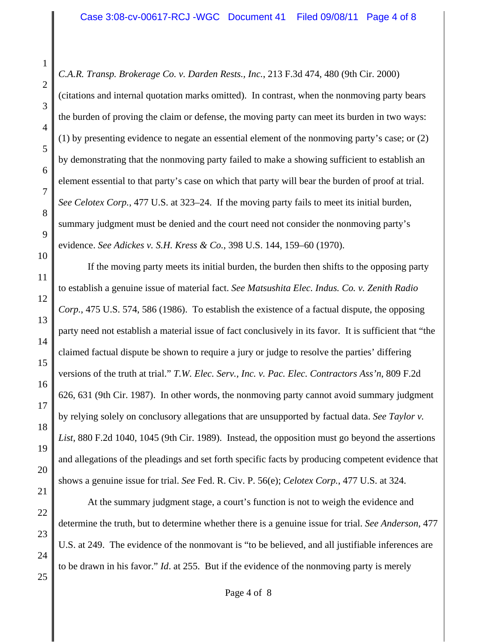*C.A.R. Transp. Brokerage Co. v. Darden Rests., Inc.*, 213 F.3d 474, 480 (9th Cir. 2000)

(citations and internal quotation marks omitted). In contrast, when the nonmoving party bears the burden of proving the claim or defense, the moving party can meet its burden in two ways: (1) by presenting evidence to negate an essential element of the nonmoving party's case; or (2) by demonstrating that the nonmoving party failed to make a showing sufficient to establish an element essential to that party's case on which that party will bear the burden of proof at trial. *See Celotex Corp.*, 477 U.S. at 323–24. If the moving party fails to meet its initial burden, summary judgment must be denied and the court need not consider the nonmoving party's evidence. *See Adickes v. S.H. Kress & Co.*, 398 U.S. 144, 159–60 (1970).

If the moving party meets its initial burden, the burden then shifts to the opposing party to establish a genuine issue of material fact. *See Matsushita Elec. Indus. Co. v. Zenith Radio Corp.*, 475 U.S. 574, 586 (1986). To establish the existence of a factual dispute, the opposing party need not establish a material issue of fact conclusively in its favor. It is sufficient that "the claimed factual dispute be shown to require a jury or judge to resolve the parties' differing versions of the truth at trial." *T.W. Elec. Serv., Inc. v. Pac. Elec. Contractors Ass'n*, 809 F.2d 626, 631 (9th Cir. 1987). In other words, the nonmoving party cannot avoid summary judgment by relying solely on conclusory allegations that are unsupported by factual data. *See Taylor v. List*, 880 F.2d 1040, 1045 (9th Cir. 1989). Instead, the opposition must go beyond the assertions and allegations of the pleadings and set forth specific facts by producing competent evidence that shows a genuine issue for trial. *See* Fed. R. Civ. P. 56(e); *Celotex Corp.*, 477 U.S. at 324.

At the summary judgment stage, a court's function is not to weigh the evidence and determine the truth, but to determine whether there is a genuine issue for trial. *See Anderson*, 477 U.S. at 249. The evidence of the nonmovant is "to be believed, and all justifiable inferences are to be drawn in his favor." *Id*. at 255. But if the evidence of the nonmoving party is merely

25

1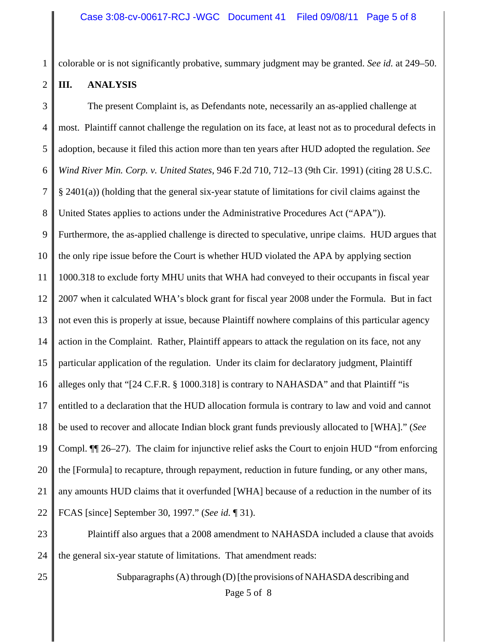colorable or is not significantly probative, summary judgment may be granted. *See id.* at 249–50.

1

2

## **III. ANALYSIS**

3 4 5 6 7 8 9 10 11 12 13 14 15 16 17 18 19 20 21 22 The present Complaint is, as Defendants note, necessarily an as-applied challenge at most. Plaintiff cannot challenge the regulation on its face, at least not as to procedural defects in adoption, because it filed this action more than ten years after HUD adopted the regulation. *See Wind River Min. Corp. v. United States*, 946 F.2d 710, 712–13 (9th Cir. 1991) (citing 28 U.S.C. § 2401(a)) (holding that the general six-year statute of limitations for civil claims against the United States applies to actions under the Administrative Procedures Act ("APA")). Furthermore, the as-applied challenge is directed to speculative, unripe claims. HUD argues that the only ripe issue before the Court is whether HUD violated the APA by applying section 1000.318 to exclude forty MHU units that WHA had conveyed to their occupants in fiscal year 2007 when it calculated WHA's block grant for fiscal year 2008 under the Formula. But in fact not even this is properly at issue, because Plaintiff nowhere complains of this particular agency action in the Complaint. Rather, Plaintiff appears to attack the regulation on its face, not any particular application of the regulation. Under its claim for declaratory judgment, Plaintiff alleges only that "[24 C.F.R. § 1000.318] is contrary to NAHASDA" and that Plaintiff "is entitled to a declaration that the HUD allocation formula is contrary to law and void and cannot be used to recover and allocate Indian block grant funds previously allocated to [WHA]." (*See* Compl. ¶¶ 26–27). The claim for injunctive relief asks the Court to enjoin HUD "from enforcing the [Formula] to recapture, through repayment, reduction in future funding, or any other mans, any amounts HUD claims that it overfunded [WHA] because of a reduction in the number of its FCAS [since] September 30, 1997." (*See id.* ¶ 31).

23 24 Plaintiff also argues that a 2008 amendment to NAHASDA included a clause that avoids the general six-year statute of limitations. That amendment reads:

25

Subparagraphs (A) through (D) [the provisions of NAHASDA describing and Page 5 of 8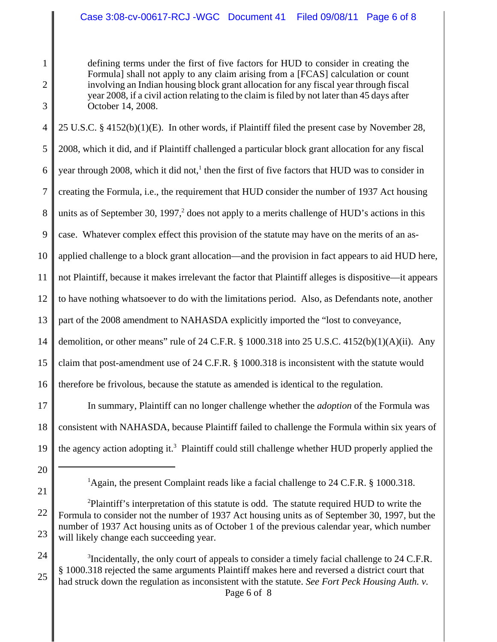2 3

1

defining terms under the first of five factors for HUD to consider in creating the Formula] shall not apply to any claim arising from a [FCAS] calculation or count involving an Indian housing block grant allocation for any fiscal year through fiscal year 2008, if a civil action relating to the claim is filed by not later than 45 days after October 14, 2008.

4 5 6 7 8 9 10 11 12 13 14 15 16 17 25 U.S.C. § 4152(b)(1)(E). In other words, if Plaintiff filed the present case by November 28, 2008, which it did, and if Plaintiff challenged a particular block grant allocation for any fiscal year through 2008, which it did not,<sup>1</sup> then the first of five factors that HUD was to consider in creating the Formula, i.e., the requirement that HUD consider the number of 1937 Act housing units as of September 30, 1997, $2$  does not apply to a merits challenge of HUD's actions in this case. Whatever complex effect this provision of the statute may have on the merits of an asapplied challenge to a block grant allocation—and the provision in fact appears to aid HUD here, not Plaintiff, because it makes irrelevant the factor that Plaintiff alleges is dispositive—it appears to have nothing whatsoever to do with the limitations period. Also, as Defendants note, another part of the 2008 amendment to NAHASDA explicitly imported the "lost to conveyance, demolition, or other means" rule of 24 C.F.R.  $\S$  1000.318 into 25 U.S.C. 4152(b)(1)(A)(ii). Any claim that post-amendment use of 24 C.F.R. § 1000.318 is inconsistent with the statute would therefore be frivolous, because the statute as amended is identical to the regulation. In summary, Plaintiff can no longer challenge whether the *adoption* of the Formula was

- 18 19 consistent with NAHASDA, because Plaintiff failed to challenge the Formula within six years of the agency action adopting it.<sup>3</sup> Plaintiff could still challenge whether HUD properly applied the
- 20
- 21

<sup>&</sup>lt;sup>1</sup>Again, the present Complaint reads like a facial challenge to 24 C.F.R. § 1000.318.

<sup>22</sup> 23 <sup>2</sup>Plaintiff's interpretation of this statute is odd. The statute required HUD to write the Formula to consider not the number of 1937 Act housing units as of September 30, 1997, but the number of 1937 Act housing units as of October 1 of the previous calendar year, which number will likely change each succeeding year.

<sup>24</sup> 25  $3$ Incidentally, the only court of appeals to consider a timely facial challenge to 24 C.F.R. § 1000.318 rejected the same arguments Plaintiff makes here and reversed a district court that had struck down the regulation as inconsistent with the statute. *See Fort Peck Housing Auth. v.*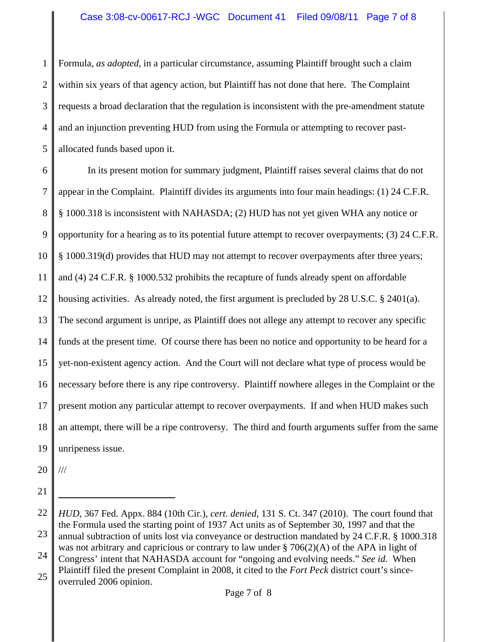1 2 3 4 5 Formula, *as adopted*, in a particular circumstance, assuming Plaintiff brought such a claim within six years of that agency action, but Plaintiff has not done that here. The Complaint requests a broad declaration that the regulation is inconsistent with the pre-amendment statute and an injunction preventing HUD from using the Formula or attempting to recover pastallocated funds based upon it.

6 7 8 9 10 11 12 13 14 15 16 17 18 19 In its present motion for summary judgment, Plaintiff raises several claims that do not appear in the Complaint. Plaintiff divides its arguments into four main headings: (1) 24 C.F.R. § 1000.318 is inconsistent with NAHASDA; (2) HUD has not yet given WHA any notice or opportunity for a hearing as to its potential future attempt to recover overpayments; (3) 24 C.F.R. § 1000.319(d) provides that HUD may not attempt to recover overpayments after three years; and (4) 24 C.F.R. § 1000.532 prohibits the recapture of funds already spent on affordable housing activities. As already noted, the first argument is precluded by 28 U.S.C. § 2401(a). The second argument is unripe, as Plaintiff does not allege any attempt to recover any specific funds at the present time. Of course there has been no notice and opportunity to be heard for a yet-non-existent agency action. And the Court will not declare what type of process would be necessary before there is any ripe controversy. Plaintiff nowhere alleges in the Complaint or the present motion any particular attempt to recover overpayments. If and when HUD makes such an attempt, there will be a ripe controversy. The third and fourth arguments suffer from the same unripeness issue.

20 ///

21

<sup>22</sup> 23 24 25 *HUD*, 367 Fed. Appx. 884 (10th Cir.), *cert. denied*, 131 S. Ct. 347 (2010). The court found that the Formula used the starting point of 1937 Act units as of September 30, 1997 and that the annual subtraction of units lost via conveyance or destruction mandated by 24 C.F.R. § 1000.318 was not arbitrary and capricious or contrary to law under  $\S 706(2)(A)$  of the APA in light of Congress' intent that NAHASDA account for "ongoing and evolving needs." *See id.* When Plaintiff filed the present Complaint in 2008, it cited to the *Fort Peck* district court's sinceoverruled 2006 opinion.